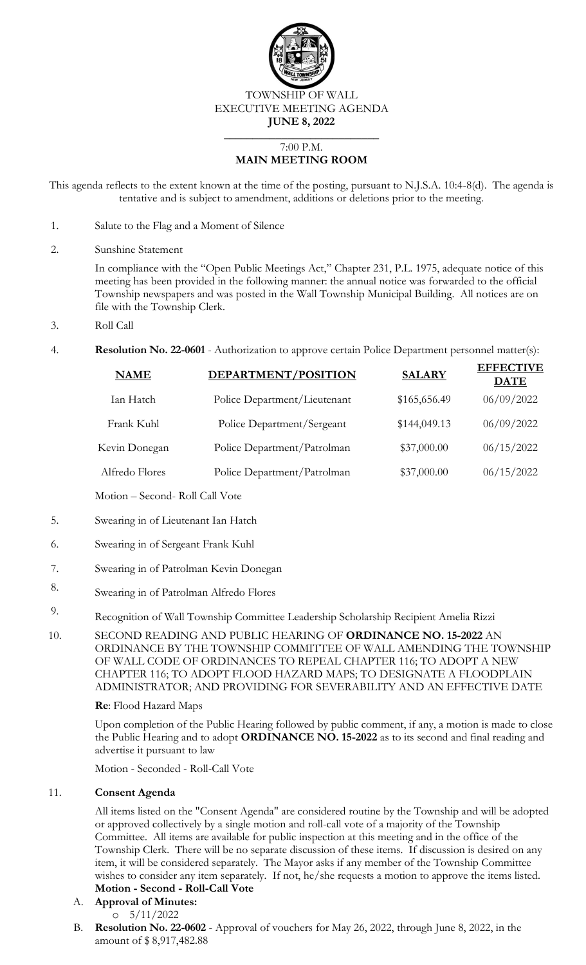

TOWNSHIP OF WALL EXECUTIVE MEETING AGENDA **JUNE 8, 2022**

#### 7:00 P.M. **MAIN MEETING ROOM**

 $\overline{\phantom{a}}$  , where  $\overline{\phantom{a}}$  , where  $\overline{\phantom{a}}$  , where  $\overline{\phantom{a}}$ 

This agenda reflects to the extent known at the time of the posting, pursuant to N.J.S.A. 10:4-8(d). The agenda is tentative and is subject to amendment, additions or deletions prior to the meeting.

- 1. Salute to the Flag and a Moment of Silence
- 2. Sunshine Statement

In compliance with the "Open Public Meetings Act," Chapter 231, P.L. 1975, adequate notice of this meeting has been provided in the following manner: the annual notice was forwarded to the official Township newspapers and was posted in the Wall Township Municipal Building. All notices are on file with the Township Clerk.

- 3. Roll Call
- 4. **Resolution No. 22-0601** Authorization to approve certain Police Department personnel matter(s):

| <b>NAME</b>    | DEPARTMENT/POSITION          | <b>SALARY</b> | <b>EFFECTIVE</b><br><b>DATE</b> |
|----------------|------------------------------|---------------|---------------------------------|
| Ian Hatch      | Police Department/Lieutenant | \$165,656.49  | 06/09/2022                      |
| Frank Kuhl     | Police Department/Sergeant   | \$144,049.13  | 06/09/2022                      |
| Kevin Donegan  | Police Department/Patrolman  | \$37,000.00   | 06/15/2022                      |
| Alfredo Flores | Police Department/Patrolman  | \$37,000.00   | 06/15/2022                      |
|                |                              |               |                                 |

Motion – Second- Roll Call Vote

- 5. Swearing in of Lieutenant Ian Hatch
- 6. Swearing in of Sergeant Frank Kuhl
- 7. Swearing in of Patrolman Kevin Donegan
- 8. Swearing in of Patrolman Alfredo Flores
- 9. Recognition of Wall Township Committee Leadership Scholarship Recipient Amelia Rizzi
- 10. SECOND READING AND PUBLIC HEARING OF **ORDINANCE NO. 15-2022** AN ORDINANCE BY THE TOWNSHIP COMMITTEE OF WALL AMENDING THE TOWNSHIP OF WALL CODE OF ORDINANCES TO REPEAL CHAPTER 116; TO ADOPT A NEW CHAPTER 116; TO ADOPT FLOOD HAZARD MAPS; TO DESIGNATE A FLOODPLAIN ADMINISTRATOR; AND PROVIDING FOR SEVERABILITY AND AN EFFECTIVE DATE

### **Re**: Flood Hazard Maps

Upon completion of the Public Hearing followed by public comment, if any, a motion is made to close the Public Hearing and to adopt **ORDINANCE NO. 15-2022** as to its second and final reading and advertise it pursuant to law

Motion - Seconded - Roll-Call Vote

### 11. **Consent Agenda**

All items listed on the "Consent Agenda" are considered routine by the Township and will be adopted or approved collectively by a single motion and roll-call vote of a majority of the Township Committee. All items are available for public inspection at this meeting and in the office of the Township Clerk. There will be no separate discussion of these items. If discussion is desired on any item, it will be considered separately. The Mayor asks if any member of the Township Committee wishes to consider any item separately. If not, he/she requests a motion to approve the items listed.

# **Motion - Second - Roll-Call Vote**

- A. **Approval of Minutes:**  $0 \quad 5/11/2022$
- B. **Resolution No. 22-0602**  Approval of vouchers for May 26, 2022, through June 8, 2022, in the amount of \$ 8,917,482.88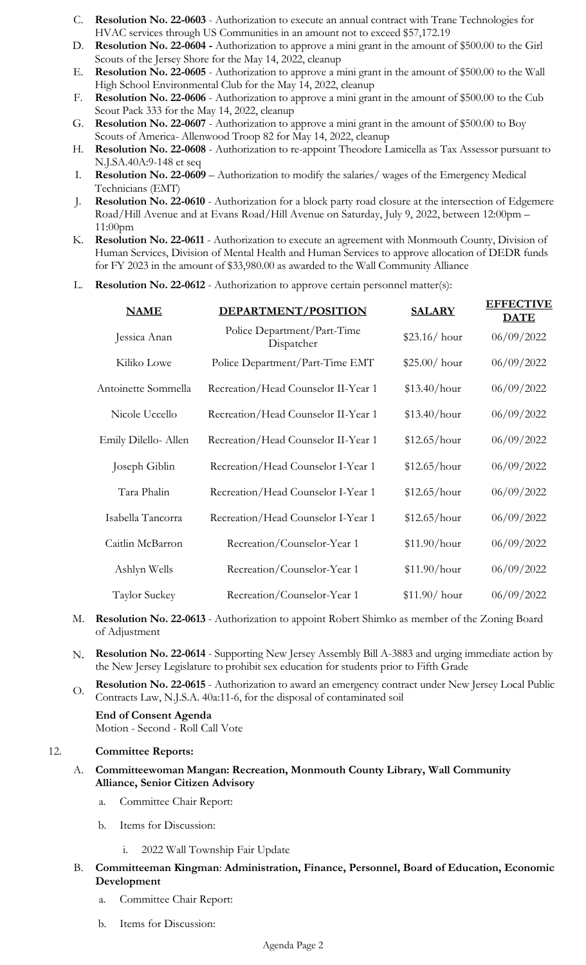- C. **Resolution No. 22-0603**  Authorization to execute an annual contract with Trane Technologies for HVAC services through US Communities in an amount not to exceed \$57,172.19
- D. **Resolution No. 22-0604 -** Authorization to approve a mini grant in the amount of \$500.00 to the Girl Scouts of the Jersey Shore for the May 14, 2022, cleanup
- E. **Resolution No. 22-0605**  Authorization to approve a mini grant in the amount of \$500.00 to the Wall High School Environmental Club for the May 14, 2022, cleanup
- F. **Resolution No. 22-0606**  Authorization to approve a mini grant in the amount of \$500.00 to the Cub Scout Pack 333 for the May 14, 2022, cleanup
- G. **Resolution No. 22-0607**  Authorization to approve a mini grant in the amount of \$500.00 to Boy Scouts of America- Allenwood Troop 82 for May 14, 2022, cleanup
- H. **Resolution No. 22-0608**  Authorization to re-appoint Theodore Lamicella as Tax Assessor pursuant to N.J.SA.40A:9-148 et seq
- I. **Resolution No. 22-0609**  Authorization to modify the salaries/ wages of the Emergency Medical Technicians (EMT)
- J. **Resolution No. 22-0610**  Authorization for a block party road closure at the intersection of Edgemere Road/Hill Avenue and at Evans Road/Hill Avenue on Saturday, July 9, 2022, between 12:00pm – 11:00pm
- K. **Resolution No. 22-0611**  Authorization to execute an agreement with Monmouth County, Division of Human Services, Division of Mental Health and Human Services to approve allocation of DEDR funds for FY 2023 in the amount of \$33,980.00 as awarded to the Wall Community Alliance
- L. **Resolution No. 22-0612** Authorization to approve certain personnel matter(s):

| <b>NAME</b>          | DEPARTMENT/POSITION                       | <b>SALARY</b>  | <b>EFFECTIVE</b><br><b>DATE</b> |
|----------------------|-------------------------------------------|----------------|---------------------------------|
| Jessica Anan         | Police Department/Part-Time<br>Dispatcher | $$23.16/$ hour | 06/09/2022                      |
| Kiliko Lowe          | Police Department/Part-Time EMT           | $$25.00/$ hour | 06/09/2022                      |
| Antoinette Sommella  | Recreation/Head Counselor II-Year 1       | \$13.40/hour   | 06/09/2022                      |
| Nicole Uccello       | Recreation/Head Counselor II-Year 1       | \$13.40/hour   | 06/09/2022                      |
| Emily Dilello- Allen | Recreation/Head Counselor II-Year 1       | \$12.65/hour   | 06/09/2022                      |
| Joseph Giblin        | Recreation/Head Counselor I-Year 1        | \$12.65/hour   | 06/09/2022                      |
| Tara Phalin          | Recreation/Head Counselor I-Year 1        | \$12.65/hour   | 06/09/2022                      |
| Isabella Tancorra    | Recreation/Head Counselor I-Year 1        | \$12.65/hour   | 06/09/2022                      |
| Caitlin McBarron     | Recreation/Counselor-Year 1               | \$11.90/hour   | 06/09/2022                      |
| Ashlyn Wells         | Recreation/Counselor-Year 1               | \$11.90/hour   | 06/09/2022                      |
| Taylor Suckey        | Recreation/Counselor-Year 1               | $$11.90/$ hour | 06/09/2022                      |

- M. **Resolution No. 22-0613** Authorization to appoint Robert Shimko as member of the Zoning Board of Adjustment
- N. **Resolution No. 22-0614**  Supporting New Jersey Assembly Bill A-3883 and urging immediate action by the New Jersey Legislature to prohibit sex education for students prior to Fifth Grade
- O. **Resolution No. 22-0615**  Authorization to award an emergency contract under New Jersey Local Public Contracts Law, N.J.S.A. 40a:11-6, for the disposal of contaminated soil

**End of Consent Agenda** Motion - Second - Roll Call Vote

### 12. **Committee Reports:**

- A. **Committeewoman Mangan: Recreation, Monmouth County Library, Wall Community Alliance, Senior Citizen Advisory**
	- a. Committee Chair Report:
	- b. Items for Discussion:
		- i. 2022 Wall Township Fair Update
- B. **Committeeman Kingman**: **Administration, Finance, Personnel, Board of Education, Economic Development** 
	- a. Committee Chair Report:
	- b. Items for Discussion: